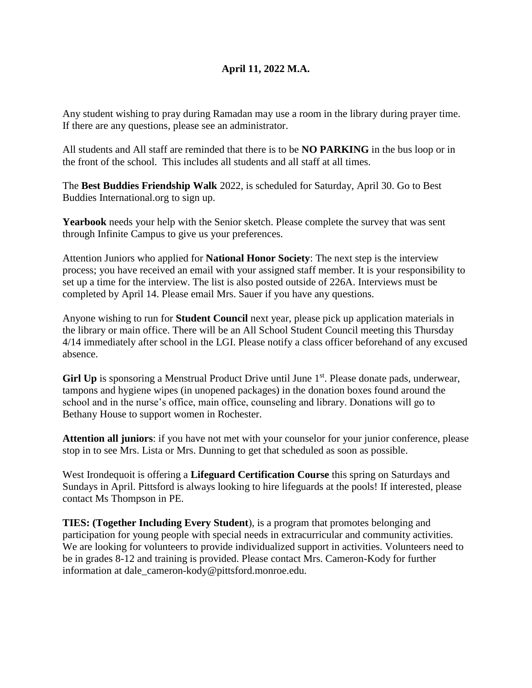# **April 11, 2022 M.A.**

Any student wishing to pray during Ramadan may use a room in the library during prayer time. If there are any questions, please see an administrator.

All students and All staff are reminded that there is to be **NO PARKING** in the bus loop or in the front of the school. This includes all students and all staff at all times.

The **Best Buddies Friendship Walk** 2022, is scheduled for Saturday, April 30. Go to Best Buddies International.org to sign up.

**Yearbook** needs your help with the Senior sketch. Please complete the survey that was sent through Infinite Campus to give us your preferences.

Attention Juniors who applied for **National Honor Society**: The next step is the interview process; you have received an email with your assigned staff member. It is your responsibility to set up a time for the interview. The list is also posted outside of 226A. Interviews must be completed by April 14. Please email Mrs. Sauer if you have any questions.

Anyone wishing to run for **Student Council** next year, please pick up application materials in the library or main office. There will be an All School Student Council meeting this Thursday 4/14 immediately after school in the LGI. Please notify a class officer beforehand of any excused absence.

Girl Up is sponsoring a Menstrual Product Drive until June 1<sup>st</sup>. Please donate pads, underwear, tampons and hygiene wipes (in unopened packages) in the donation boxes found around the school and in the nurse's office, main office, counseling and library. Donations will go to Bethany House to support women in Rochester.

**Attention all juniors**: if you have not met with your counselor for your junior conference, please stop in to see Mrs. Lista or Mrs. Dunning to get that scheduled as soon as possible.

West Irondequoit is offering a **Lifeguard Certification Course** this spring on Saturdays and Sundays in April. Pittsford is always looking to hire lifeguards at the pools! If interested, please contact Ms Thompson in PE.

**TIES: (Together Including Every Student**), is a program that promotes belonging and participation for young people with special needs in extracurricular and community activities. We are looking for volunteers to provide individualized support in activities. Volunteers need to be in grades 8-12 and training is provided. Please contact Mrs. Cameron-Kody for further information at dale\_cameron-kody@pittsford.monroe.edu.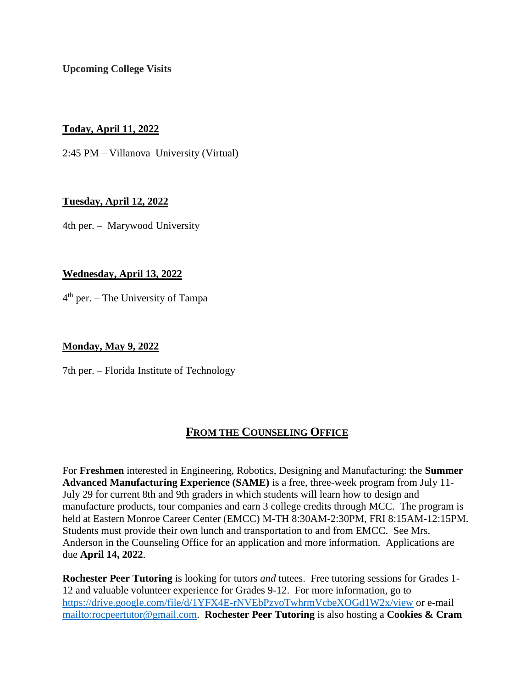**Upcoming College Visits**

**Today, April 11, 2022**

2:45 PM – Villanova University (Virtual)

# **Tuesday, April 12, 2022**

4th per. – Marywood University

# **Wednesday, April 13, 2022**

4<sup>th</sup> per. – The University of Tampa

## **Monday, May 9, 2022**

7th per. – Florida Institute of Technology

# **FROM THE COUNSELING OFFICE**

For **Freshmen** interested in Engineering, Robotics, Designing and Manufacturing: the **Summer Advanced Manufacturing Experience (SAME)** is a free, three-week program from July 11- July 29 for current 8th and 9th graders in which students will learn how to design and manufacture products, tour companies and earn 3 college credits through MCC. The program is held at Eastern Monroe Career Center (EMCC) M-TH 8:30AM-2:30PM, FRI 8:15AM-12:15PM. Students must provide their own lunch and transportation to and from EMCC. See Mrs. Anderson in the Counseling Office for an application and more information. Applications are due **April 14, 2022**.

**Rochester Peer Tutoring** is looking for tutors *and* tutees. Free tutoring sessions for Grades 1- 12 and valuable volunteer experience for Grades 9-12. For more information, go to <https://drive.google.com/file/d/1YFX4E-rNVEbPzvoTwhrmVcbeXOGd1W2x/view> or e-mail [mailto:rocpeertutor@gmail.com.](mailto:rocpeertutor@gmail.com) **Rochester Peer Tutoring** is also hosting a **Cookies & Cram**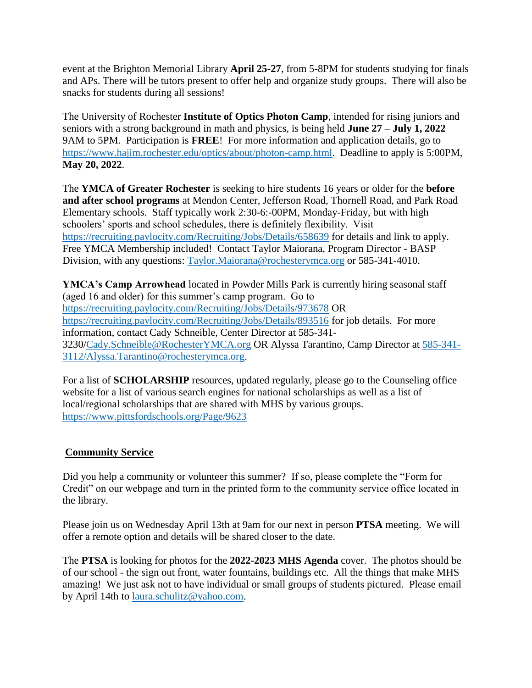event at the Brighton Memorial Library **April 25-27**, from 5-8PM for students studying for finals and APs. There will be tutors present to offer help and organize study groups. There will also be snacks for students during all sessions!

The University of Rochester **Institute of Optics Photon Camp**, intended for rising juniors and seniors with a strong background in math and physics, is being held **June 27 – July 1, 2022** 9AM to 5PM. Participation is **FREE**! For more information and application details, go to [https://www.hajim.rochester.edu/optics/about/photon-camp.html.](https://www.hajim.rochester.edu/optics/about/photon-camp.html) Deadline to apply is 5:00PM, **May 20, 2022**.

The **YMCA of Greater Rochester** is seeking to hire students 16 years or older for the **before and after school programs** at Mendon Center, Jefferson Road, Thornell Road, and Park Road Elementary schools. Staff typically work 2:30-6:-00PM, Monday-Friday, but with high schoolers' sports and school schedules, there is definitely flexibility. Visit <https://recruiting.paylocity.com/Recruiting/Jobs/Details/658639> for details and link to apply. Free YMCA Membership included! Contact Taylor Maiorana, Program Director - BASP Division, with any questions: [Taylor.Maiorana@rochesterymca.org](mailto:Taylor.Maiorana@rochesterymca.org) or 585-341-4010.

**YMCA's Camp Arrowhead** located in Powder Mills Park is currently hiring seasonal staff (aged 16 and older) for this summer's camp program. Go to [https://recruiting.paylocity.com/Recruiting/Jobs/Details/973678](https://nam02.safelinks.protection.outlook.com/?url=https%3A%2F%2Frecruiting.paylocity.com%2FRecruiting%2FJobs%2FDetails%2F973678&data=04%7C01%7CCady.Schneible%40rochesterymca.org%7C51ccc9f993d34f79444408da01e6ed7e%7Cc8a588ece5374b678edf38a9955a2d7a%7C1%7C0%7C637824388580041678%7CUnknown%7CTWFpbGZsb3d8eyJWIjoiMC4wLjAwMDAiLCJQIjoiV2luMzIiLCJBTiI6Ik1haWwiLCJXVCI6Mn0%3D%7C3000&sdata=cGUJOCOwGMygyDxpgR%2FQkqXdhXD0jeTWkb4EarF8lT4%3D&reserved=0) OR [https://recruiting.paylocity.com/Recruiting/Jobs/Details/893516](https://nam02.safelinks.protection.outlook.com/?url=https%3A%2F%2Frecruiting.paylocity.com%2FRecruiting%2FJobs%2FDetails%2F893516&data=04%7C01%7CCady.Schneible%40rochesterymca.org%7C51ccc9f993d34f79444408da01e6ed7e%7Cc8a588ece5374b678edf38a9955a2d7a%7C1%7C0%7C637824388580041678%7CUnknown%7CTWFpbGZsb3d8eyJWIjoiMC4wLjAwMDAiLCJQIjoiV2luMzIiLCJBTiI6Ik1haWwiLCJXVCI6Mn0%3D%7C3000&sdata=ml1eU0SaA%2BrUATwkHAQLqxAAggCYCOmlVwJmBVodjN4%3D&reserved=0) for job details. For more information, contact Cady Schneible, Center Director at 585-341- 3230[/Cady.Schneible@RochesterYMCA.org](mailto:Cady.Schneible@RochesterYMCA.org) OR Alyssa Tarantino, Camp Director at [585-341-](mailto:585-341-3112/Alyssa.Tarantino@rochesterymca.org) [3112/Alyssa.Tarantino@rochesterymca.org.](mailto:585-341-3112/Alyssa.Tarantino@rochesterymca.org)

For a list of **SCHOLARSHIP** resources, updated regularly, please go to the Counseling office website for a list of various search engines for national scholarships as well as a list of local/regional scholarships that are shared with MHS by various groups. <https://www.pittsfordschools.org/Page/9623>

#### **Community Service**

Did you help a community or volunteer this summer? If so, please complete the "Form for Credit" on our webpage and turn in the printed form to the community service office located in the library.

Please join us on Wednesday April 13th at 9am for our next in person **PTSA** meeting. We will offer a remote option and details will be shared closer to the date.

The **PTSA** is looking for photos for the **2022-2023 MHS Agenda** cover. The photos should be of our school - the sign out front, water fountains, buildings etc. All the things that make MHS amazing! We just ask not to have individual or small groups of students pictured. Please email by April 14th to [laura.schulitz@yahoo.com.](mailto:laura.schulitz@yahoo.com)